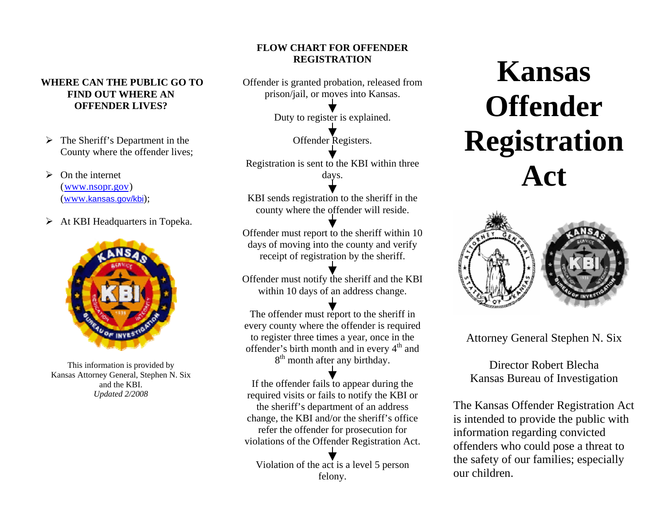### **WHERE CAN THE PUBLIC GO TO FIND OUT WHERE AN OFFENDER LIVES?**

- $\triangleright$  The Sheriff's Department in the County where the offender lives;
- $\triangleright$  On the internet  $(www.nsopr.gov)$ (www.kansas.gov/kbi);
- ¾At KBI Headquarters in Topeka.



This information is provided by Kansas Attorney General, Stephen N. Six and the KBI. *Updated 2/2008*

## **FLOW CHART FOR OFFENDER REGISTRATION**

Offender is granted probation, released from prison/jail, or moves into Kansas.

Duty to register is explained.

Offender Registers.

Registration is sent to the KBI within three days.

KBI sends registration to the sheriff in the county where the offender will reside.

Offender must report to the sheriff within 10 days of moving into the county and verify receipt of registration by the sheriff.

Offender must notify the sheriff and the KBI within 10 days of an address change.

The offender must report to the sheriff in every county where the offender is required to register three times a year, once in the offender's birth month and in every  $4<sup>th</sup>$  and 8<sup>th</sup> month after any birthday.

If the offender fails to appear during the required visits or fails to notify the KBI or the sheriff's department of an address change, the KBI and/or the sheriff's office refer the offender for prosecution for violations of the Offender Registration Act.

Violation of the act is a level 5 person felony.

# **Kansas Offender Registration Act**



Attorney General Stephen N. Six

Director Robert Blecha Kansas Bureau of Investigation

The Kansas Offender Registration Act is intended to provide the public with information regarding convicted offenders who could pose a threat to the safety of our families; especially our children.